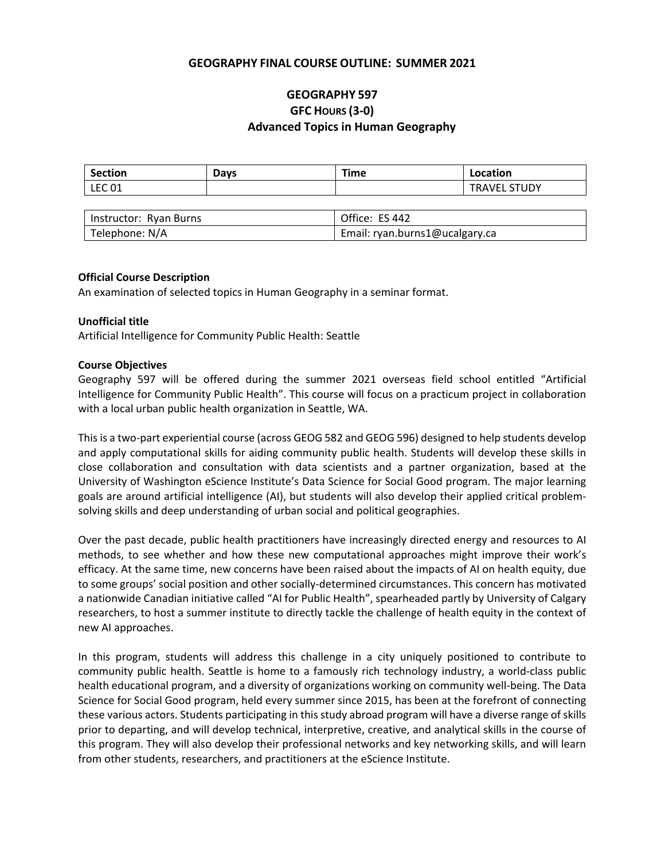# **GEOGRAPHY FINAL COURSE OUTLINE: SUMMER 2021**

# **GEOGRAPHY 597 GFC HOURS (3-0) Advanced Topics in Human Geography**

| <b>Section</b> | Davs | Time | Location            |
|----------------|------|------|---------------------|
| <b>LEC 01</b>  |      |      | <b>TRAVEL STUDY</b> |

| Instructor: Ryan Burns | Office: ES 442                 |
|------------------------|--------------------------------|
| Telephone: N/A         | Email: ryan.burns1@ucalgary.ca |

#### **Official Course Description**

An examination of selected topics in Human Geography in a seminar format.

## **Unofficial title**

Artificial Intelligence for Community Public Health: Seattle

#### **Course Objectives**

Geography 597 will be offered during the summer 2021 overseas field school entitled "Artificial Intelligence for Community Public Health". This course will focus on a practicum project in collaboration with a local urban public health organization in Seattle, WA.

This is a two-part experiential course (across GEOG 582 and GEOG 596) designed to help students develop and apply computational skills for aiding community public health. Students will develop these skills in close collaboration and consultation with data scientists and a partner organization, based at the University of Washington eScience Institute's Data Science for Social Good program. The major learning goals are around artificial intelligence (AI), but students will also develop their applied critical problemsolving skills and deep understanding of urban social and political geographies.

Over the past decade, public health practitioners have increasingly directed energy and resources to AI methods, to see whether and how these new computational approaches might improve their work's efficacy. At the same time, new concerns have been raised about the impacts of AI on health equity, due to some groups' social position and other socially-determined circumstances. This concern has motivated a nationwide Canadian initiative called "AI for Public Health", spearheaded partly by University of Calgary researchers, to host a summer institute to directly tackle the challenge of health equity in the context of new AI approaches.

In this program, students will address this challenge in a city uniquely positioned to contribute to community public health. Seattle is home to a famously rich technology industry, a world-class public health educational program, and a diversity of organizations working on community well-being. The Data Science for Social Good program, held every summer since 2015, has been at the forefront of connecting these various actors. Students participating in this study abroad program will have a diverse range of skills prior to departing, and will develop technical, interpretive, creative, and analytical skills in the course of this program. They will also develop their professional networks and key networking skills, and will learn from other students, researchers, and practitioners at the eScience Institute.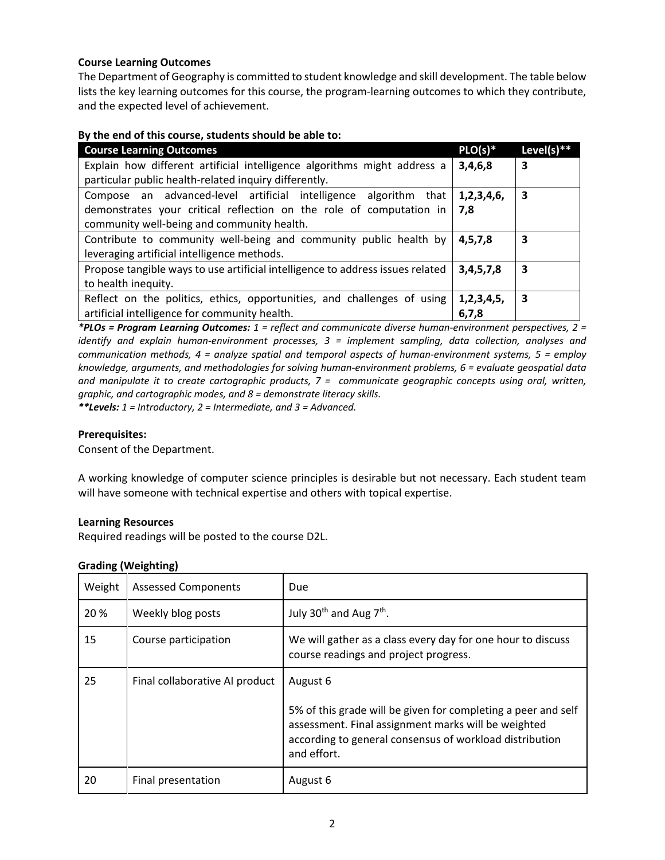# **Course Learning Outcomes**

The Department of Geography is committed to student knowledge and skill development. The table below lists the key learning outcomes for this course, the program-learning outcomes to which they contribute, and the expected level of achievement.

## **By the end of this course, students should be able to:**

| <b>Course Learning Outcomes</b>                                                | $PLO(s)*$      | Level(s) $**$ |
|--------------------------------------------------------------------------------|----------------|---------------|
| Explain how different artificial intelligence algorithms might address a       | 3,4,6,8        | 3             |
| particular public health-related inquiry differently.                          |                |               |
| Compose an advanced-level artificial intelligence algorithm that               | 1,2,3,4,6,     | 3             |
| demonstrates your critical reflection on the role of computation in            | 7.8            |               |
| community well-being and community health.                                     |                |               |
| Contribute to community well-being and community public health by              | 4, 5, 7, 8     | 3             |
| leveraging artificial intelligence methods.                                    |                |               |
| Propose tangible ways to use artificial intelligence to address issues related | 3,4,5,7,8      | 3             |
| to health inequity.                                                            |                |               |
| Reflect on the politics, ethics, opportunities, and challenges of using        | 1, 2, 3, 4, 5, | 3             |
| artificial intelligence for community health.                                  | 6,7,8          |               |

*\*PLOs = Program Learning Outcomes: 1 = reflect and communicate diverse human-environment perspectives, 2 = identify and explain human-environment processes, 3 = implement sampling, data collection, analyses and communication methods, 4 = analyze spatial and temporal aspects of human-environment systems, 5 = employ knowledge, arguments, and methodologies for solving human-environment problems, 6 = evaluate geospatial data and manipulate it to create cartographic products, 7 = communicate geographic concepts using oral, written, graphic, and cartographic modes, and 8 = demonstrate literacy skills.*

*\*\*Levels: 1 = Introductory, 2 = Intermediate, and 3 = Advanced.*

## **Prerequisites:**

Consent of the Department.

A working knowledge of computer science principles is desirable but not necessary. Each student team will have someone with technical expertise and others with topical expertise.

## **Learning Resources**

Required readings will be posted to the course D2L.

| Weight | <b>Assessed Components</b>     | Due                                                                                                                                                                                            |
|--------|--------------------------------|------------------------------------------------------------------------------------------------------------------------------------------------------------------------------------------------|
| 20 %   | Weekly blog posts              | July 30 <sup>th</sup> and Aug 7 <sup>th</sup> .                                                                                                                                                |
| 15     | Course participation           | We will gather as a class every day for one hour to discuss<br>course readings and project progress.                                                                                           |
| 25     | Final collaborative AI product | August 6                                                                                                                                                                                       |
|        |                                | 5% of this grade will be given for completing a peer and self<br>assessment. Final assignment marks will be weighted<br>according to general consensus of workload distribution<br>and effort. |
| 20     | Final presentation             | August 6                                                                                                                                                                                       |

# **Grading (Weighting)**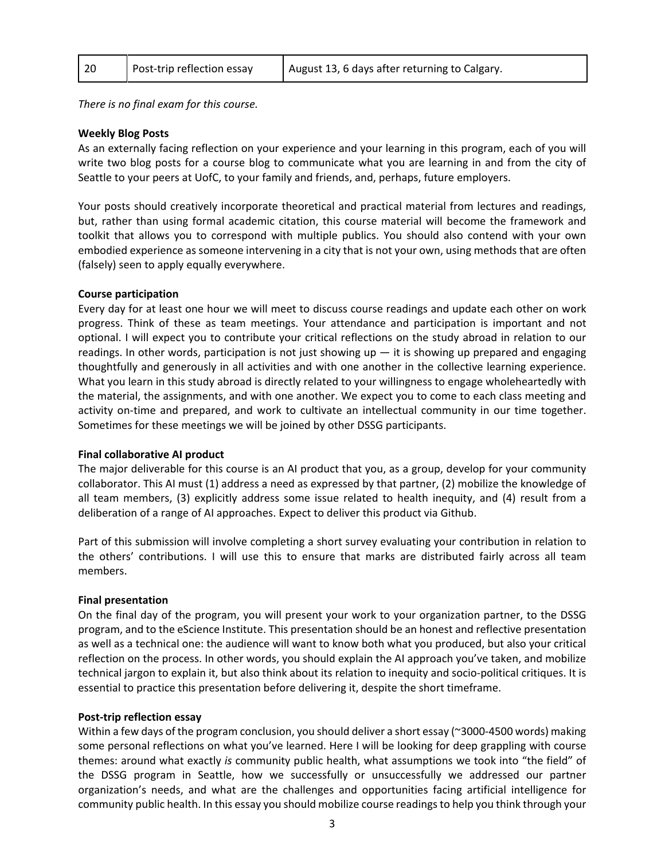| -20 | Post-trip reflection essay | August 13, 6 days after returning to Calgary. |
|-----|----------------------------|-----------------------------------------------|
|     |                            |                                               |

*There is no final exam for this course.* 

# **Weekly Blog Posts**

As an externally facing reflection on your experience and your learning in this program, each of you will write two blog posts for a course blog to communicate what you are learning in and from the city of Seattle to your peers at UofC, to your family and friends, and, perhaps, future employers.

Your posts should creatively incorporate theoretical and practical material from lectures and readings, but, rather than using formal academic citation, this course material will become the framework and toolkit that allows you to correspond with multiple publics. You should also contend with your own embodied experience as someone intervening in a city that is not your own, using methods that are often (falsely) seen to apply equally everywhere.

# **Course participation**

Every day for at least one hour we will meet to discuss course readings and update each other on work progress. Think of these as team meetings. Your attendance and participation is important and not optional. I will expect you to contribute your critical reflections on the study abroad in relation to our readings. In other words, participation is not just showing up  $-$  it is showing up prepared and engaging thoughtfully and generously in all activities and with one another in the collective learning experience. What you learn in this study abroad is directly related to your willingness to engage wholeheartedly with the material, the assignments, and with one another. We expect you to come to each class meeting and activity on-time and prepared, and work to cultivate an intellectual community in our time together. Sometimes for these meetings we will be joined by other DSSG participants.

# **Final collaborative AI product**

The major deliverable for this course is an AI product that you, as a group, develop for your community collaborator. This AI must (1) address a need as expressed by that partner, (2) mobilize the knowledge of all team members, (3) explicitly address some issue related to health inequity, and (4) result from a deliberation of a range of AI approaches. Expect to deliver this product via Github.

Part of this submission will involve completing a short survey evaluating your contribution in relation to the others' contributions. I will use this to ensure that marks are distributed fairly across all team members.

## **Final presentation**

On the final day of the program, you will present your work to your organization partner, to the DSSG program, and to the eScience Institute. This presentation should be an honest and reflective presentation as well as a technical one: the audience will want to know both what you produced, but also your critical reflection on the process. In other words, you should explain the AI approach you've taken, and mobilize technical jargon to explain it, but also think about its relation to inequity and socio-political critiques. It is essential to practice this presentation before delivering it, despite the short timeframe.

## **Post-trip reflection essay**

Within a few days of the program conclusion, you should deliver a short essay (~3000-4500 words) making some personal reflections on what you've learned. Here I will be looking for deep grappling with course themes: around what exactly *is* community public health, what assumptions we took into "the field" of the DSSG program in Seattle, how we successfully or unsuccessfully we addressed our partner organization's needs, and what are the challenges and opportunities facing artificial intelligence for community public health. In this essay you should mobilize course readings to help you think through your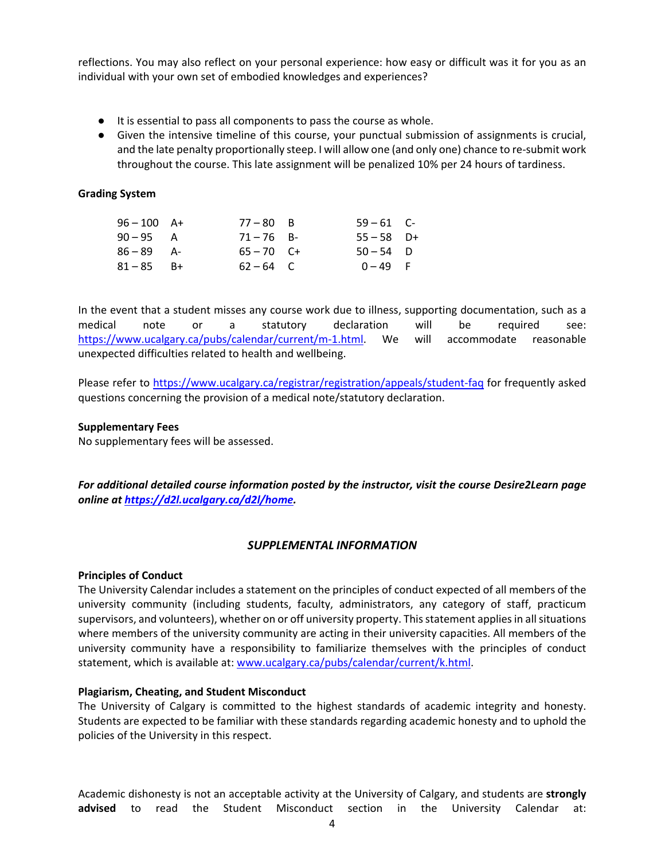reflections. You may also reflect on your personal experience: how easy or difficult was it for you as an individual with your own set of embodied knowledges and experiences?

- It is essential to pass all components to pass the course as whole.
- Given the intensive timeline of this course, your punctual submission of assignments is crucial, and the late penalty proportionally steep. I will allow one (and only one) chance to re-submit work throughout the course. This late assignment will be penalized 10% per 24 hours of tardiness.

## **Grading System**

| $96 - 100$ A+ | $77 - 80$ B  | $59 - 61$ C- |  |
|---------------|--------------|--------------|--|
| $90 - 95$ A   | $71 - 76$ B- | $55 - 58$ D+ |  |
| $86 - 89$ A-  | $65 - 70$ C+ | $50 - 54$ D  |  |
| $81 - 85$ B+  | $62 - 64$ C  | $0 - 49$ F   |  |

In the event that a student misses any course work due to illness, supporting documentation, such as a medical note or a statutory declaration will be required see: [https://www.ucalgary.ca/pubs/calendar/current/m-1.html.](https://www.ucalgary.ca/pubs/calendar/current/m-1.html) We will accommodate reasonable unexpected difficulties related to health and wellbeing.

Please refer to<https://www.ucalgary.ca/registrar/registration/appeals/student-faq> for frequently asked questions concerning the provision of a medical note/statutory declaration.

## **Supplementary Fees**

No supplementary fees will be assessed.

*For additional detailed course information posted by the instructor, visit the course Desire2Learn page online at [https://d2l.ucalgary.ca/d2l/home.](https://d2l.ucalgary.ca/d2l/home)*

# *SUPPLEMENTAL INFORMATION*

## **Principles of Conduct**

The University Calendar includes a statement on the principles of conduct expected of all members of the university community (including students, faculty, administrators, any category of staff, practicum supervisors, and volunteers), whether on or off university property. This statement applies in all situations where members of the university community are acting in their university capacities. All members of the university community have a responsibility to familiarize themselves with the principles of conduct statement, which is available at: [www.ucalgary.ca/pubs/calendar/current/k.html.](http://www.ucalgary.ca/pubs/calendar/current/k.html)

## **Plagiarism, Cheating, and Student Misconduct**

The University of Calgary is committed to the highest standards of academic integrity and honesty. Students are expected to be familiar with these standards regarding academic honesty and to uphold the policies of the University in this respect.

Academic dishonesty is not an acceptable activity at the University of Calgary, and students are **strongly advised** to read the Student Misconduct section in the University Calendar at: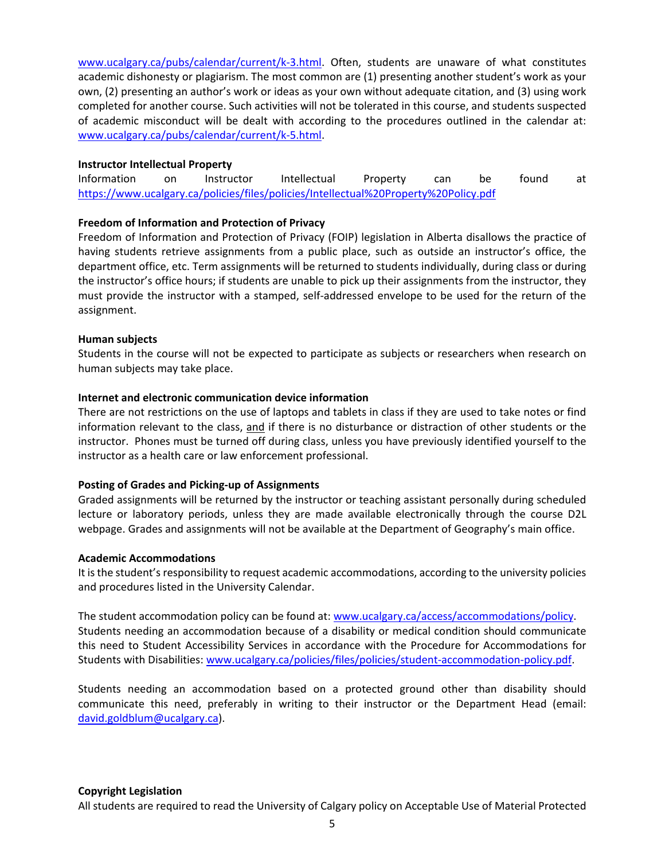[www.ucalgary.ca/pubs/calendar/current/k-3.html.](http://www.ucalgary.ca/pubs/calendar/current/k-3.html) Often, students are unaware of what constitutes academic dishonesty or plagiarism. The most common are (1) presenting another student's work as your own, (2) presenting an author's work or ideas as your own without adequate citation, and (3) using work completed for another course. Such activities will not be tolerated in this course, and students suspected of academic misconduct will be dealt with according to the procedures outlined in the calendar at: [www.ucalgary.ca/pubs/calendar/current/k-5.html.](http://www.ucalgary.ca/pubs/calendar/current/k-5.html)

# **Instructor Intellectual Property**

Information on Instructor Intellectual Property can be found at <https://www.ucalgary.ca/policies/files/policies/Intellectual%20Property%20Policy.pdf>

# **Freedom of Information and Protection of Privacy**

Freedom of Information and Protection of Privacy (FOIP) legislation in Alberta disallows the practice of having students retrieve assignments from a public place, such as outside an instructor's office, the department office, etc. Term assignments will be returned to students individually, during class or during the instructor's office hours; if students are unable to pick up their assignments from the instructor, they must provide the instructor with a stamped, self-addressed envelope to be used for the return of the assignment.

# **Human subjects**

Students in the course will not be expected to participate as subjects or researchers when research on human subjects may take place.

# **Internet and electronic communication device information**

There are not restrictions on the use of laptops and tablets in class if they are used to take notes or find information relevant to the class, and if there is no disturbance or distraction of other students or the instructor. Phones must be turned off during class, unless you have previously identified yourself to the instructor as a health care or law enforcement professional.

# **Posting of Grades and Picking-up of Assignments**

Graded assignments will be returned by the instructor or teaching assistant personally during scheduled lecture or laboratory periods, unless they are made available electronically through the course D2L webpage. Grades and assignments will not be available at the Department of Geography's main office.

## **Academic Accommodations**

It is the student's responsibility to request academic accommodations, according to the university policies and procedures listed in the University Calendar.

The student accommodation policy can be found at: [www.ucalgary.ca/access/accommodations/policy.](http://www.ucalgary.ca/access/accommodations/policy) Students needing an accommodation because of a disability or medical condition should communicate this need to Student Accessibility Services in accordance with the Procedure for Accommodations for Students with Disabilities: [www.ucalgary.ca/policies/files/policies/student-accommodation-policy.pdf.](http://www.ucalgary.ca/policies/files/policies/student-accommodation-policy.pdf)

Students needing an accommodation based on a protected ground other than disability should communicate this need, preferably in writing to their instructor or the Department Head (email: [david.goldblum@ucalgary.ca\)](mailto:david.goldblum@ucalgary.ca).

## **Copyright Legislation**

All students are required to read the University of Calgary policy on Acceptable Use of Material Protected